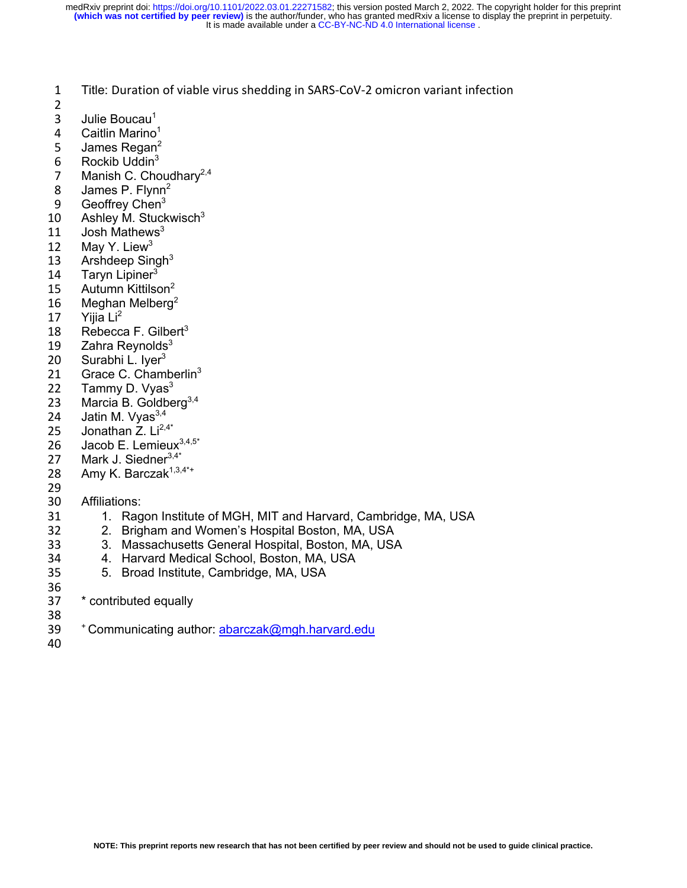1 Title: Duration of viable virus shedding in SARS-CoV-2 omicron variant infection

- 2
- 3 Julie Boucau $<sup>1</sup>$ </sup>
- 
- 4 Caitlin Marino<sup>1</sup><br>5 James Regan<sup>2</sup> James Regan<sup>2</sup>
- 6 Rockib Uddin<sup>3</sup>
- 7 Manish C. Choudhary<sup>2,4</sup>
- 8 James P. Flynn<sup>2</sup>
- 9 Geoffrey Chen<sup>3</sup>
- 10 Ashley M. Stuckwisch $3$
- 11 Josh Mathews $3$
- 12 May Y. Liew<sup>3</sup>
- 13 Arshdeep Singh $3$
- 14 Taryn Lipiner<sup>3</sup>
- 15 Autumn Kittilson $2$
- 16 Meghan Melberg<sup>2</sup>
- 17 Yijia Li<sup>2</sup>
- 18 Rebecca F. Gilbert<sup>3</sup>
- 19 Zahra Reynolds<sup>3</sup><br>20 Surabhi L. Iver<sup>3</sup>
- 20 Surabhi L. Iyer<sup>3</sup>
- 21 Grace C. Chamberlin<sup>3</sup>
- 22 Tammy D. Vyas $3$
- 23 Marcia B. Goldberg $3,4$
- 24 Jatin M. Vyas $^{3,4}$
- 25 Jonathan  $Z. Li^{2,4*}$
- 26 Jacob E. Lemieux $3,4,5^*$
- 27 Mark J. Siedner<sup>3,4\*</sup>
- 28 Amy K. Barczak $1,3,4$ \*+
- 29
- 30 Affiliations:
- 31 1. Ragon Institute of MGH, MIT and Harvard, Cambridge, MA, USA
- 32 2. Brigham and Women's Hospital Boston, MA, USA
- 33 3. Massachusetts General Hospital, Boston, MA, USA
- 34 4. Harvard Medical School, Boston, MA, USA
- 35 5. Broad Institute, Cambridge, MA, USA
- 36
- 37 \* contributed equally
- 
- 38<br>39 <sup>+</sup> Communicating author: abarczak@mgh.harvard.edu
- 40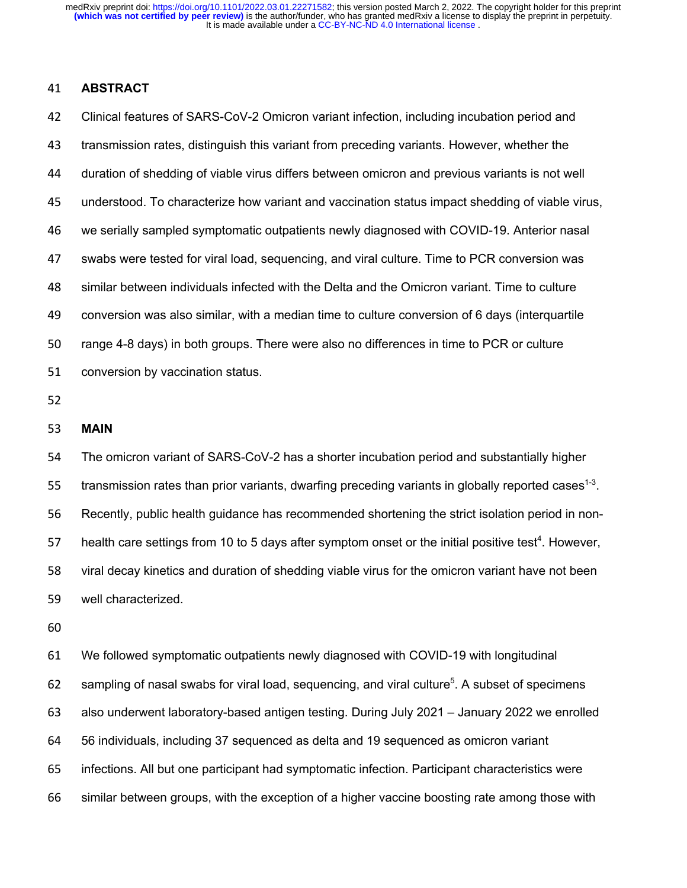### **ABSTRACT**

 Clinical features of SARS-CoV-2 Omicron variant infection, including incubation period and transmission rates, distinguish this variant from preceding variants. However, whether the duration of shedding of viable virus differs between omicron and previous variants is not well understood. To characterize how variant and vaccination status impact shedding of viable virus, we serially sampled symptomatic outpatients newly diagnosed with COVID-19. Anterior nasal swabs were tested for viral load, sequencing, and viral culture. Time to PCR conversion was similar between individuals infected with the Delta and the Omicron variant. Time to culture conversion was also similar, with a median time to culture conversion of 6 days (interquartile range 4-8 days) in both groups. There were also no differences in time to PCR or culture conversion by vaccination status.

#### **MAIN**

 The omicron variant of SARS-CoV-2 has a shorter incubation period and substantially higher 55 transmission rates than prior variants, dwarfing preceding variants in globally reported cases<sup>1-3</sup>. Recently, public health guidance has recommended shortening the strict isolation period in non-57 health care settings from 10 to 5 days after symptom onset or the initial positive test<sup>4</sup>. However, viral decay kinetics and duration of shedding viable virus for the omicron variant have not been well characterized.

 We followed symptomatic outpatients newly diagnosed with COVID-19 with longitudinal 62 sampling of nasal swabs for viral load, sequencing, and viral culture<sup>5</sup>. A subset of specimens also underwent laboratory-based antigen testing. During July 2021 – January 2022 we enrolled 56 individuals, including 37 sequenced as delta and 19 sequenced as omicron variant infections. All but one participant had symptomatic infection. Participant characteristics were similar between groups, with the exception of a higher vaccine boosting rate among those with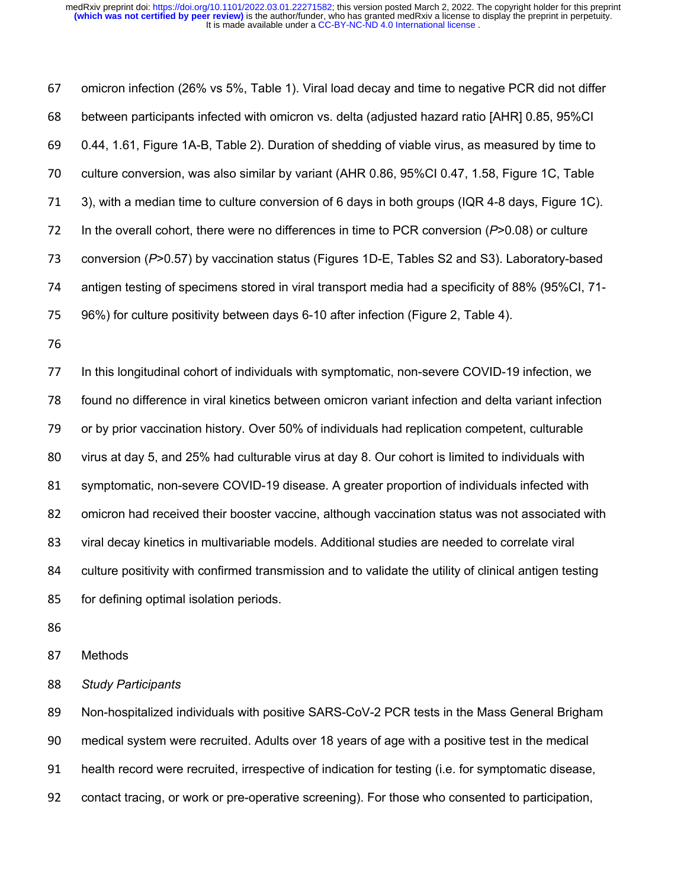omicron infection (26% vs 5%, Table 1). Viral load decay and time to negative PCR did not differ between participants infected with omicron vs. delta (adjusted hazard ratio [AHR] 0.85, 95%CI 0.44, 1.61, Figure 1A-B, Table 2). Duration of shedding of viable virus, as measured by time to culture conversion, was also similar by variant (AHR 0.86, 95%CI 0.47, 1.58, Figure 1C, Table 3), with a median time to culture conversion of 6 days in both groups (IQR 4-8 days, Figure 1C). In the overall cohort, there were no differences in time to PCR conversion (*P*>0.08) or culture conversion (*P*>0.57) by vaccination status (Figures 1D-E, Tables S2 and S3). Laboratory-based antigen testing of specimens stored in viral transport media had a specificity of 88% (95%CI, 71- 96%) for culture positivity between days 6-10 after infection (Figure 2, Table 4). In this longitudinal cohort of individuals with symptomatic, non-severe COVID-19 infection, we found no difference in viral kinetics between omicron variant infection and delta variant infection or by prior vaccination history. Over 50% of individuals had replication competent, culturable virus at day 5, and 25% had culturable virus at day 8. Our cohort is limited to individuals with symptomatic, non-severe COVID-19 disease. A greater proportion of individuals infected with omicron had received their booster vaccine, although vaccination status was not associated with viral decay kinetics in multivariable models. Additional studies are needed to correlate viral culture positivity with confirmed transmission and to validate the utility of clinical antigen testing for defining optimal isolation periods.

Methods

*Study Participants*

 Non-hospitalized individuals with positive SARS-CoV-2 PCR tests in the Mass General Brigham medical system were recruited. Adults over 18 years of age with a positive test in the medical health record were recruited, irrespective of indication for testing (i.e. for symptomatic disease, contact tracing, or work or pre-operative screening). For those who consented to participation,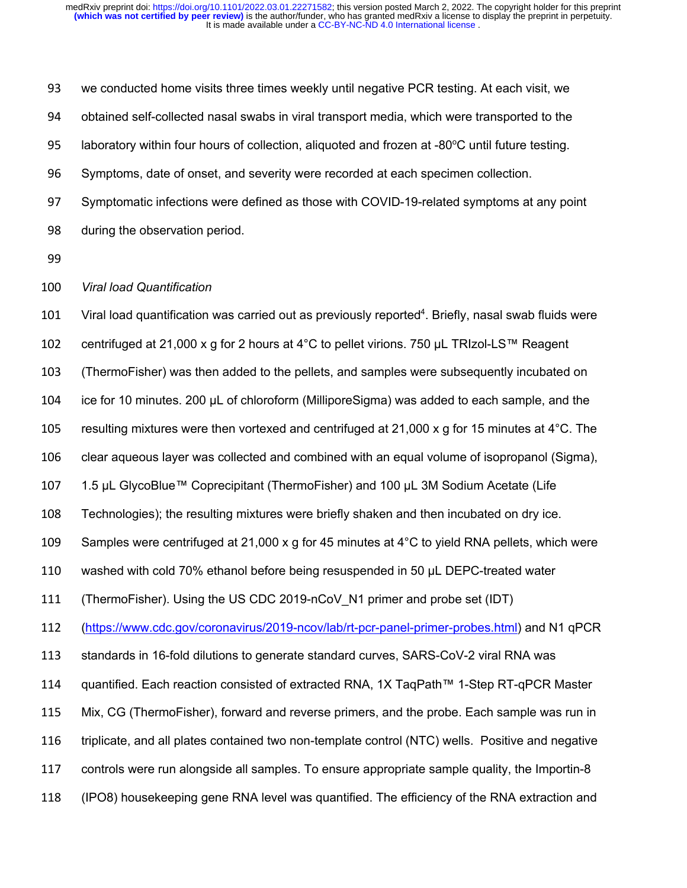we conducted home visits three times weekly until negative PCR testing. At each visit, we obtained self-collected nasal swabs in viral transport media, which were transported to the 95 laboratory within four hours of collection, aliquoted and frozen at  $-80^{\circ}$ C until future testing. Symptoms, date of onset, and severity were recorded at each specimen collection. Symptomatic infections were defined as those with COVID-19-related symptoms at any point during the observation period. *Viral load Quantification* 101 Viral load quantification was carried out as previously reported<sup>4</sup>. Briefly, nasal swab fluids were centrifuged at 21,000 x g for 2 hours at 4°C to pellet virions. 750 μL TRIzol-LS™ Reagent (ThermoFisher) was then added to the pellets, and samples were subsequently incubated on ice for 10 minutes. 200 μL of chloroform (MilliporeSigma) was added to each sample, and the 105 resulting mixtures were then vortexed and centrifuged at 21,000 x g for 15 minutes at  $4^{\circ}$ C. The clear aqueous layer was collected and combined with an equal volume of isopropanol (Sigma), 1.5 μL GlycoBlue™ Coprecipitant (ThermoFisher) and 100 μL 3M Sodium Acetate (Life Technologies); the resulting mixtures were briefly shaken and then incubated on dry ice. 109 Samples were centrifuged at 21,000 x g for 45 minutes at  $4^{\circ}$ C to yield RNA pellets, which were washed with cold 70% ethanol before being resuspended in 50 μL DEPC-treated water (ThermoFisher). Using the US CDC 2019-nCoV\_N1 primer and probe set (IDT) (https://www.cdc.gov/coronavirus/2019-ncov/lab/rt-pcr-panel-primer-probes.html) and N1 qPCR standards in 16-fold dilutions to generate standard curves, SARS-CoV-2 viral RNA was quantified. Each reaction consisted of extracted RNA, 1X TaqPath™ 1-Step RT-qPCR Master Mix, CG (ThermoFisher), forward and reverse primers, and the probe. Each sample was run in triplicate, and all plates contained two non-template control (NTC) wells. Positive and negative controls were run alongside all samples. To ensure appropriate sample quality, the Importin-8 (IPO8) housekeeping gene RNA level was quantified. The efficiency of the RNA extraction and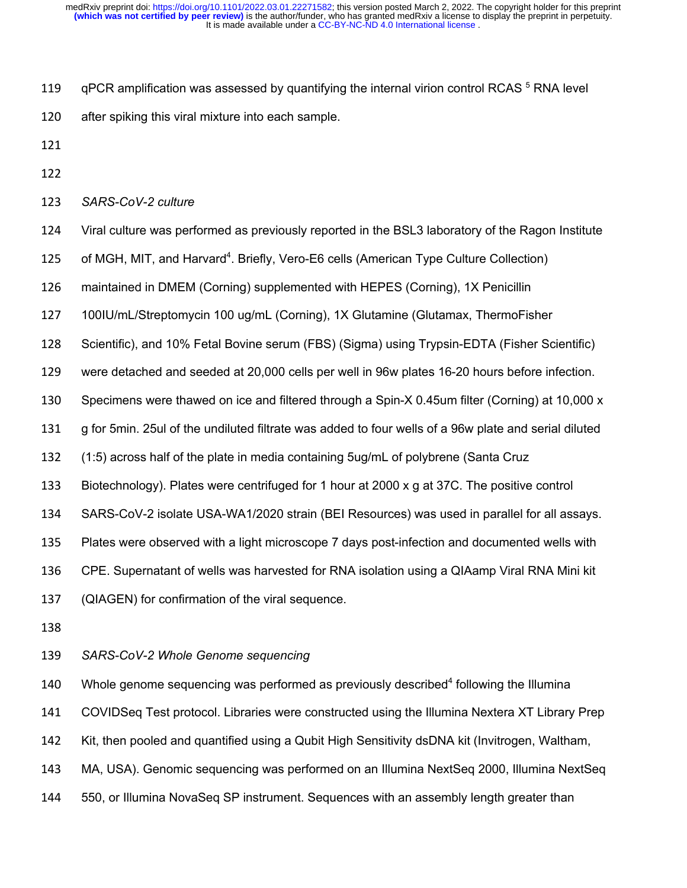- 119 gPCR amplification was assessed by quantifying the internal virion control RCAS RNA level
- after spiking this viral mixture into each sample.
- 
- 
- *SARS-CoV-2 culture*
- Viral culture was performed as previously reported in the BSL3 laboratory of the Ragon Institute
- 125 of MGH, MIT, and Harvard<sup>4</sup>. Briefly, Vero-E6 cells (American Type Culture Collection)
- maintained in DMEM (Corning) supplemented with HEPES (Corning), 1X Penicillin
- 100IU/mL/Streptomycin 100 ug/mL (Corning), 1X Glutamine (Glutamax, ThermoFisher
- Scientific), and 10% Fetal Bovine serum (FBS) (Sigma) using Trypsin-EDTA (Fisher Scientific)
- were detached and seeded at 20,000 cells per well in 96w plates 16-20 hours before infection.
- Specimens were thawed on ice and filtered through a Spin-X 0.45um filter (Corning) at 10,000 x
- g for 5min. 25ul of the undiluted filtrate was added to four wells of a 96w plate and serial diluted
- (1:5) across half of the plate in media containing 5ug/mL of polybrene (Santa Cruz
- Biotechnology). Plates were centrifuged for 1 hour at 2000 x g at 37C. The positive control
- SARS-CoV-2 isolate USA-WA1/2020 strain (BEI Resources) was used in parallel for all assays.
- Plates were observed with a light microscope 7 days post-infection and documented wells with
- CPE. Supernatant of wells was harvested for RNA isolation using a QIAamp Viral RNA Mini kit
- (QIAGEN) for confirmation of the viral sequence.
- 
- *SARS-CoV-2 Whole Genome sequencing*

140 Whole genome sequencing was performed as previously described<sup>4</sup> following the Illumina COVIDSeq Test protocol. Libraries were constructed using the Illumina Nextera XT Library Prep Kit, then pooled and quantified using a Qubit High Sensitivity dsDNA kit (Invitrogen, Waltham, MA, USA). Genomic sequencing was performed on an Illumina NextSeq 2000, Illumina NextSeq 550, or Illumina NovaSeq SP instrument. Sequences with an assembly length greater than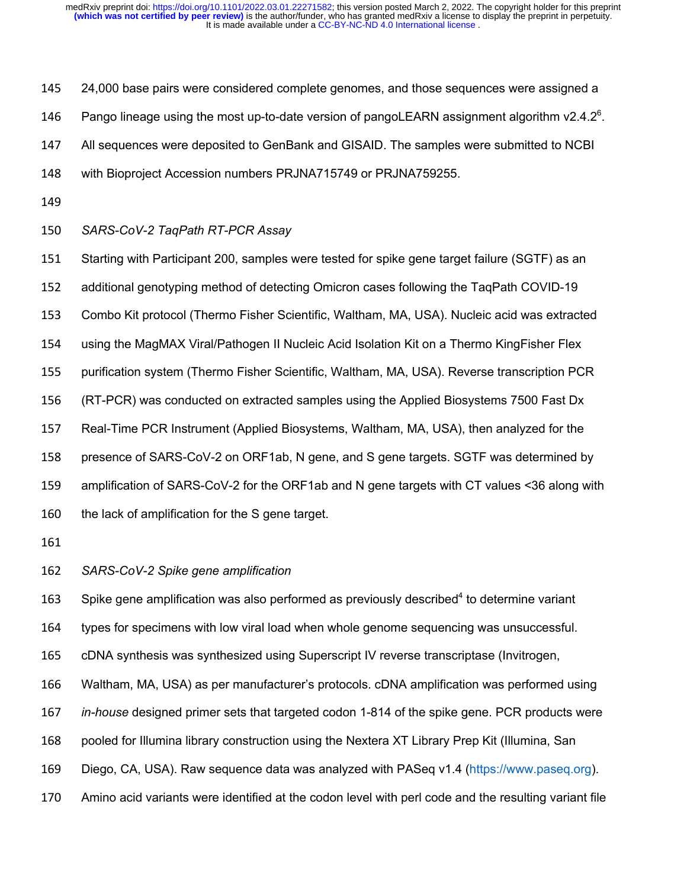145 24,000 base pairs were considered complete genomes, and those sequences were assigned a

146 Pango lineage using the most up-to-date version of pangoLEARN assignment algorithm  $v2.4.2^{\circ}$ .

All sequences were deposited to GenBank and GISAID. The samples were submitted to NCBI

with Bioproject Accession numbers PRJNA715749 or PRJNA759255.

#### *SARS-CoV-2 TaqPath RT-PCR Assay*

 Starting with Participant 200, samples were tested for spike gene target failure (SGTF) as an additional genotyping method of detecting Omicron cases following the TaqPath COVID-19 Combo Kit protocol (Thermo Fisher Scientific, Waltham, MA, USA). Nucleic acid was extracted using the MagMAX Viral/Pathogen II Nucleic Acid Isolation Kit on a Thermo KingFisher Flex purification system (Thermo Fisher Scientific, Waltham, MA, USA). Reverse transcription PCR (RT-PCR) was conducted on extracted samples using the Applied Biosystems 7500 Fast Dx Real-Time PCR Instrument (Applied Biosystems, Waltham, MA, USA), then analyzed for the presence of SARS-CoV-2 on ORF1ab, N gene, and S gene targets. SGTF was determined by amplification of SARS-CoV-2 for the ORF1ab and N gene targets with CT values <36 along with 160 the lack of amplification for the S gene target.

*SARS-CoV-2 Spike gene amplification*

163 Spike gene amplification was also performed as previously described<sup>4</sup> to determine variant

types for specimens with low viral load when whole genome sequencing was unsuccessful.

cDNA synthesis was synthesized using Superscript IV reverse transcriptase (Invitrogen,

Waltham, MA, USA) as per manufacturer's protocols. cDNA amplification was performed using

*in-house* designed primer sets that targeted codon 1-814 of the spike gene. PCR products were

pooled for Illumina library construction using the Nextera XT Library Prep Kit (Illumina, San

Diego, CA, USA). Raw sequence data was analyzed with PASeq v1.4 (https://www.paseq.org).

Amino acid variants were identified at the codon level with perl code and the resulting variant file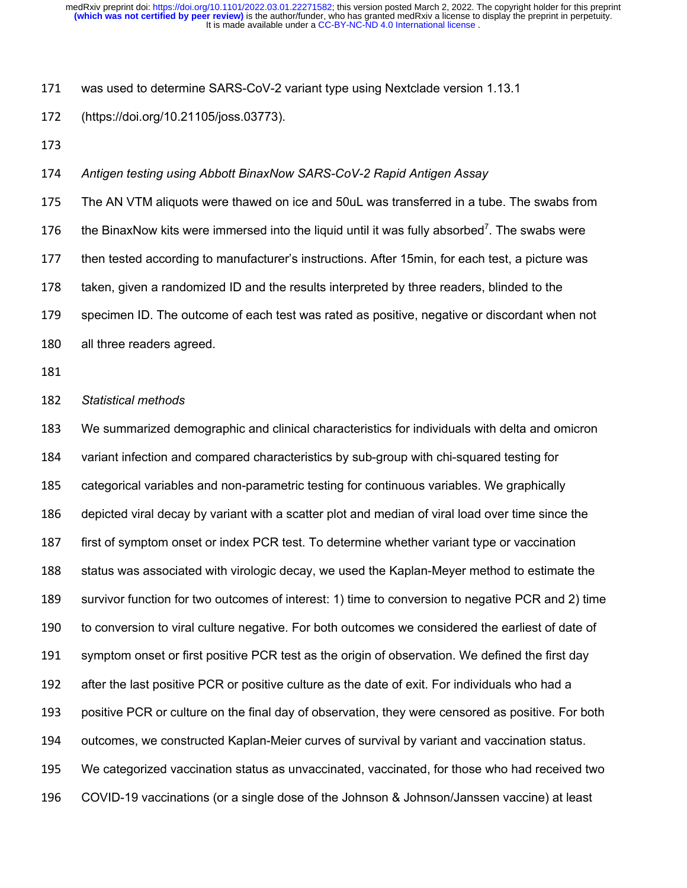was used to determine SARS-CoV-2 variant type using Nextclade version 1.13.1

(https://doi.org/10.21105/joss.03773).

*Antigen testing using Abbott BinaxNow SARS-CoV-2 Rapid Antigen Assay*

 The AN VTM aliquots were thawed on ice and 50uL was transferred in a tube. The swabs from 176 the BinaxNow kits were immersed into the liquid until it was fully absorbed<sup>7</sup>. The swabs were then tested according to manufacturer's instructions. After 15min, for each test, a picture was taken, given a randomized ID and the results interpreted by three readers, blinded to the specimen ID. The outcome of each test was rated as positive, negative or discordant when not all three readers agreed.

*Statistical methods*

 We summarized demographic and clinical characteristics for individuals with delta and omicron variant infection and compared characteristics by sub-group with chi-squared testing for categorical variables and non-parametric testing for continuous variables. We graphically depicted viral decay by variant with a scatter plot and median of viral load over time since the first of symptom onset or index PCR test. To determine whether variant type or vaccination status was associated with virologic decay, we used the Kaplan-Meyer method to estimate the survivor function for two outcomes of interest: 1) time to conversion to negative PCR and 2) time to conversion to viral culture negative. For both outcomes we considered the earliest of date of symptom onset or first positive PCR test as the origin of observation. We defined the first day after the last positive PCR or positive culture as the date of exit. For individuals who had a positive PCR or culture on the final day of observation, they were censored as positive. For both outcomes, we constructed Kaplan-Meier curves of survival by variant and vaccination status. We categorized vaccination status as unvaccinated, vaccinated, for those who had received two COVID-19 vaccinations (or a single dose of the Johnson & Johnson/Janssen vaccine) at least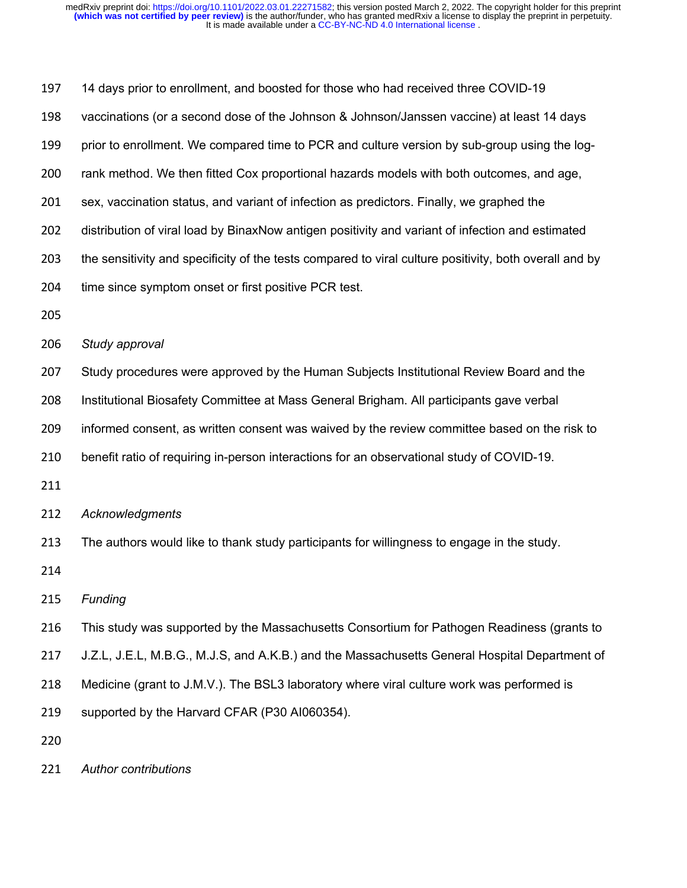14 days prior to enrollment, and boosted for those who had received three COVID-19 vaccinations (or a second dose of the Johnson & Johnson/Janssen vaccine) at least 14 days prior to enrollment. We compared time to PCR and culture version by sub-group using the log- rank method. We then fitted Cox proportional hazards models with both outcomes, and age, sex, vaccination status, and variant of infection as predictors. Finally, we graphed the distribution of viral load by BinaxNow antigen positivity and variant of infection and estimated 203 the sensitivity and specificity of the tests compared to viral culture positivity, both overall and by time since symptom onset or first positive PCR test. *Study approval* Study procedures were approved by the Human Subjects Institutional Review Board and the Institutional Biosafety Committee at Mass General Brigham. All participants gave verbal informed consent, as written consent was waived by the review committee based on the risk to benefit ratio of requiring in-person interactions for an observational study of COVID-19. *Acknowledgments* The authors would like to thank study participants for willingness to engage in the study. *Funding* This study was supported by the Massachusetts Consortium for Pathogen Readiness (grants to J.Z.L, J.E.L, M.B.G., M.J.S, and A.K.B.) and the Massachusetts General Hospital Department of 218 Medicine (grant to J.M.V.). The BSL3 laboratory where viral culture work was performed is supported by the Harvard CFAR (P30 AI060354). 

*Author contributions*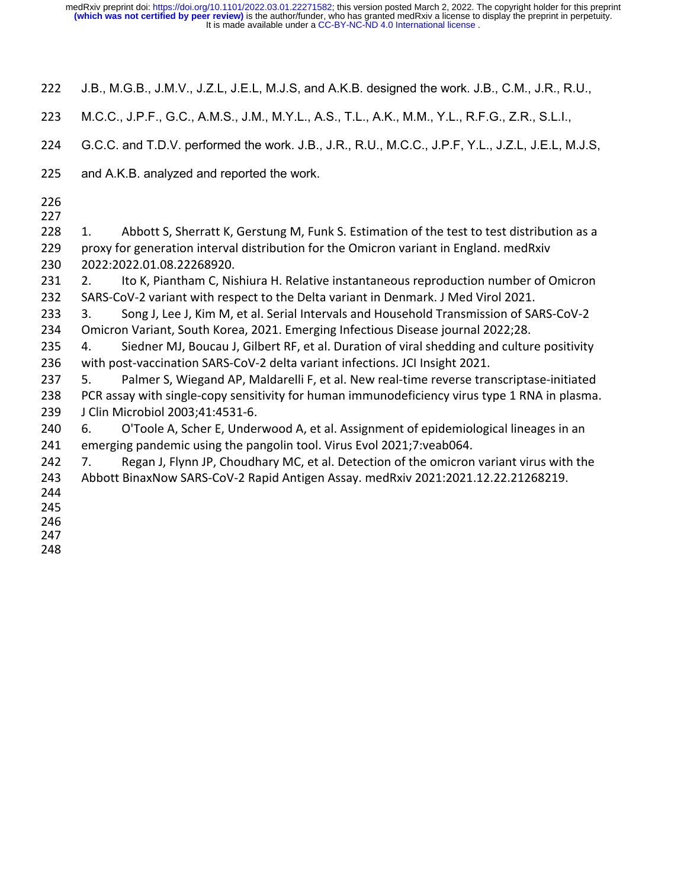- J.B., M.G.B., J.M.V., J.Z.L, J.E.L, M.J.S, and A.K.B. designed the work. J.B., C.M., J.R., R.U.,
- M.C.C., J.P.F., G.C., A.M.S., J.M., M.Y.L., A.S., T.L., A.K., M.M., Y.L., R.F.G., Z.R., S.L.I.,
- G.C.C. and T.D.V. performed the work. J.B., J.R., R.U., M.C.C., J.P.F, Y.L., J.Z.L, J.E.L, M.J.S,
- and A.K.B. analyzed and reported the work.
- 
- 

228 1. Abbott S, Sherratt K, Gerstung M, Funk S. Estimation of the test to test distribution as a proxy for generation interval distribution for the Omicron variant in England. medRxiv 2022:2022.01.08.22268920.

231 2. Ito K, Piantham C, Nishiura H. Relative instantaneous reproduction number of Omicron SARS-CoV-2 variant with respect to the Delta variant in Denmark. J Med Virol 2021.

233 3. Song J, Lee J, Kim M, et al. Serial Intervals and Household Transmission of SARS-CoV-2 Omicron Variant, South Korea, 2021. Emerging Infectious Disease journal 2022;28.

 4. Siedner MJ, Boucau J, Gilbert RF, et al. Duration of viral shedding and culture positivity with post-vaccination SARS-CoV-2 delta variant infections. JCI Insight 2021.

 5. Palmer S, Wiegand AP, Maldarelli F, et al. New real-time reverse transcriptase-initiated PCR assay with single-copy sensitivity for human immunodeficiency virus type 1 RNA in plasma. J Clin Microbiol 2003;41:4531-6.

 6. O'Toole A, Scher E, Underwood A, et al. Assignment of epidemiological lineages in an emerging pandemic using the pangolin tool. Virus Evol 2021;7:veab064.

242 7. Regan J, Flynn JP, Choudhary MC, et al. Detection of the omicron variant virus with the Abbott BinaxNow SARS-CoV-2 Rapid Antigen Assay. medRxiv 2021:2021.12.22.21268219.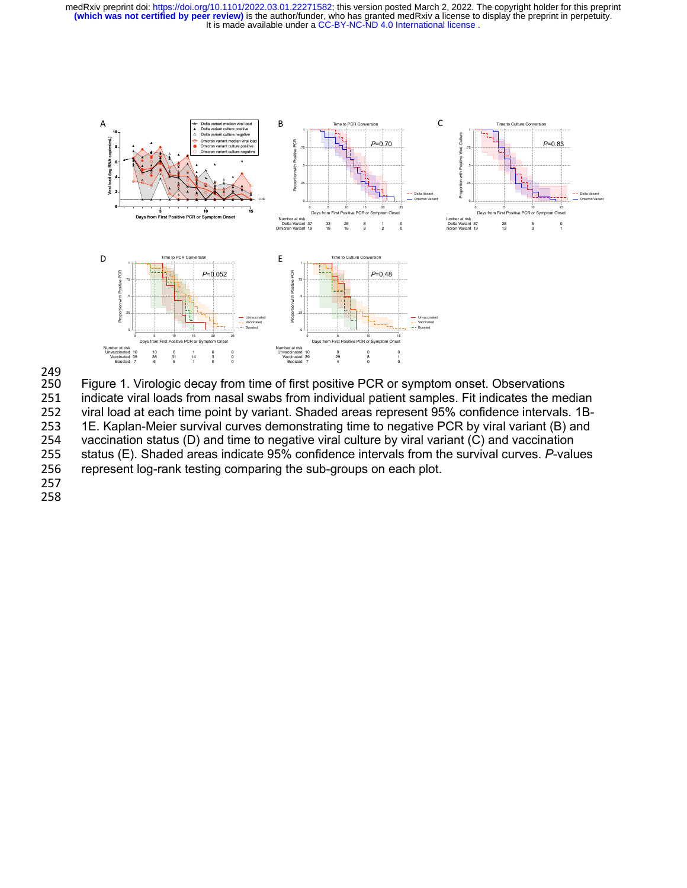



249<br>250 Figure 1. Virologic decay from time of first positive PCR or symptom onset. Observations 251 indicate viral loads from nasal swabs from individual patient samples. Fit indicates the median 252 viral load at each time point by variant. Shaded areas represent 95% confidence intervals. 1B-<br>253 1E. Kaplan-Meier survival curves demonstrating time to negative PCR by viral variant (B) and 1E. Kaplan-Meier survival curves demonstrating time to negative PCR by viral variant (B) and 254 vaccination status (D) and time to negative viral culture by viral variant (C) and vaccination 255 status (E). Shaded areas indicate 95% confidence intervals from the survival curves. *P*-values<br>256 represent log-rank testing comparing the sub-groups on each plot. represent log-rank testing comparing the sub-groups on each plot.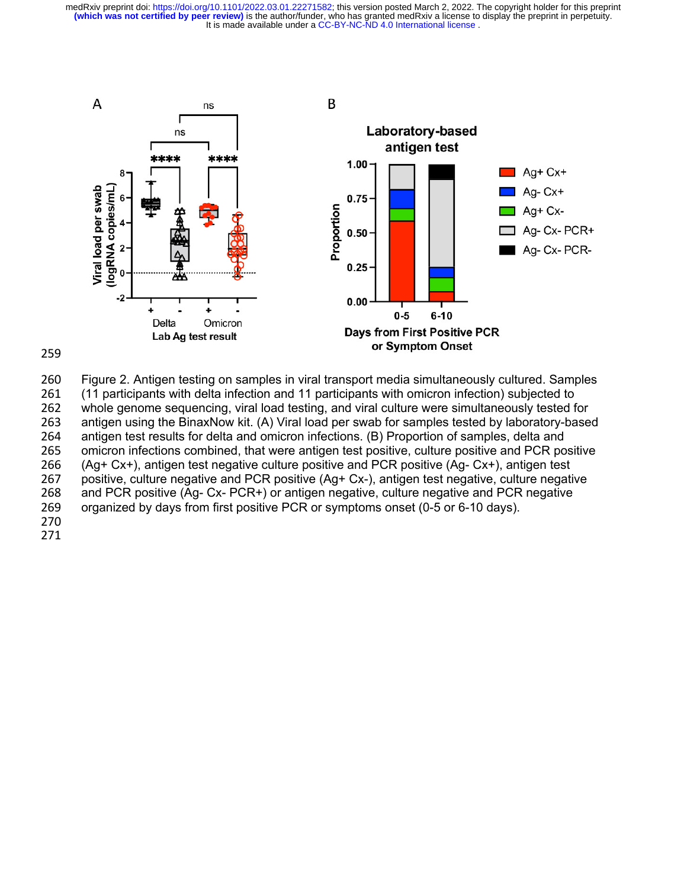



 Figure 2. Antigen testing on samples in viral transport media simultaneously cultured. Samples (11 participants with delta infection and 11 participants with omicron infection) subjected to whole genome sequencing, viral load testing, and viral culture were simultaneously tested for antigen using the BinaxNow kit. (A) Viral load per swab for samples tested by laboratory-based antigen test results for delta and omicron infections. (B) Proportion of samples, delta and omicron infections combined, that were antigen test positive, culture positive and PCR positive (Ag+ Cx+), antigen test negative culture positive and PCR positive (Ag- Cx+), antigen test 267 positive, culture negative and PCR positive (Ag+ Cx-), antigen test negative, culture negative<br>268 and PCR positive (Ag- Cx- PCR+) or antigen negative, culture negative and PCR negative and PCR positive (Ag- Cx- PCR+) or antigen negative, culture negative and PCR negative organized by days from first positive PCR or symptoms onset (0-5 or 6-10 days).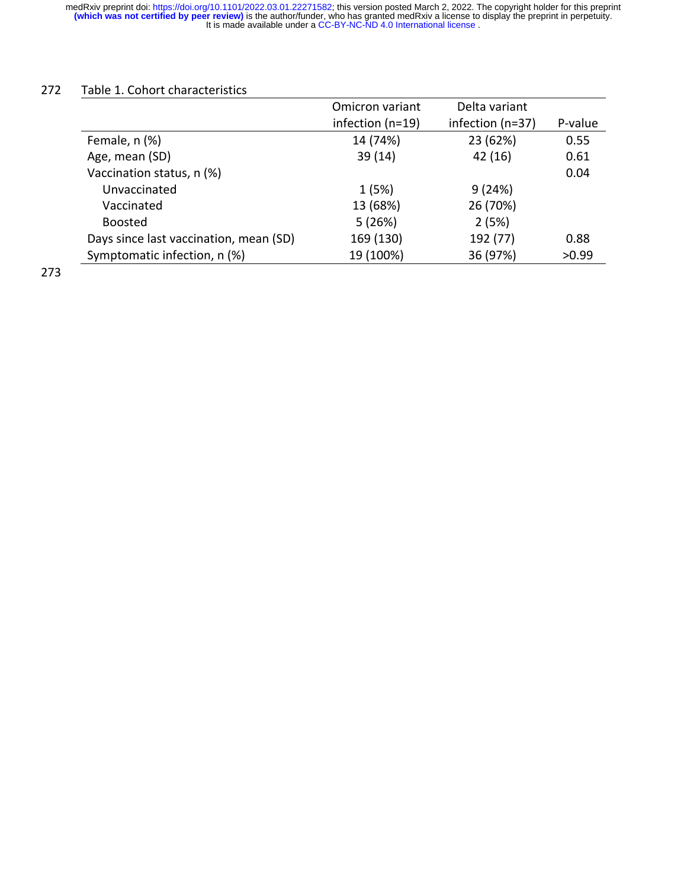## 272 Table 1. Cohort characteristics

|                                        | Omicron variant      | Delta variant    |         |
|----------------------------------------|----------------------|------------------|---------|
|                                        | infection ( $n=19$ ) | infection (n=37) | P-value |
| Female, n (%)                          | 14 (74%)             | 23 (62%)         | 0.55    |
| Age, mean (SD)                         | 39(14)               | 42 (16)          | 0.61    |
| Vaccination status, n (%)              |                      |                  | 0.04    |
| Unvaccinated                           | 1(5%)                | 9(24%)           |         |
| Vaccinated                             | 13 (68%)             | 26 (70%)         |         |
| <b>Boosted</b>                         | 5(26%)               | 2(5%)            |         |
| Days since last vaccination, mean (SD) | 169 (130)            | 192 (77)         | 0.88    |
| Symptomatic infection, n (%)           | 19 (100%)            | 36 (97%)         | >0.99   |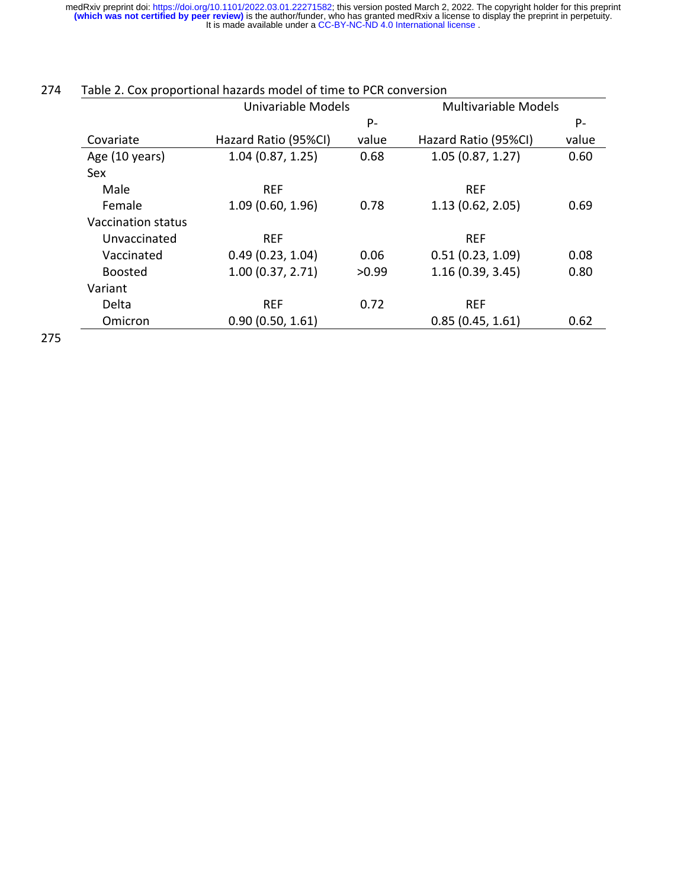|                    | Univariable Models   |       | <b>Multivariable Models</b> |       |
|--------------------|----------------------|-------|-----------------------------|-------|
|                    |                      | P-    |                             | P-    |
| Covariate          | Hazard Ratio (95%CI) | value | Hazard Ratio (95%CI)        | value |
| Age (10 years)     | 1.04(0.87, 1.25)     | 0.68  | 1.05(0.87, 1.27)            | 0.60  |
| Sex                |                      |       |                             |       |
| Male               | <b>REF</b>           |       | <b>REF</b>                  |       |
| Female             | 1.09(0.60, 1.96)     | 0.78  | 1.13(0.62, 2.05)            | 0.69  |
| Vaccination status |                      |       |                             |       |
| Unvaccinated       | <b>REF</b>           |       | <b>REF</b>                  |       |
| Vaccinated         | 0.49(0.23, 1.04)     | 0.06  | 0.51(0.23, 1.09)            | 0.08  |
| <b>Boosted</b>     | 1.00(0.37, 2.71)     | >0.99 | 1.16(0.39, 3.45)            | 0.80  |
| Variant            |                      |       |                             |       |
| Delta              | <b>REF</b>           | 0.72  | <b>REF</b>                  |       |
| Omicron            | 0.90(0.50, 1.61)     |       | 0.85(0.45, 1.61)            | 0.62  |

## 274 Table 2. Cox proportional hazards model of time to PCR conversion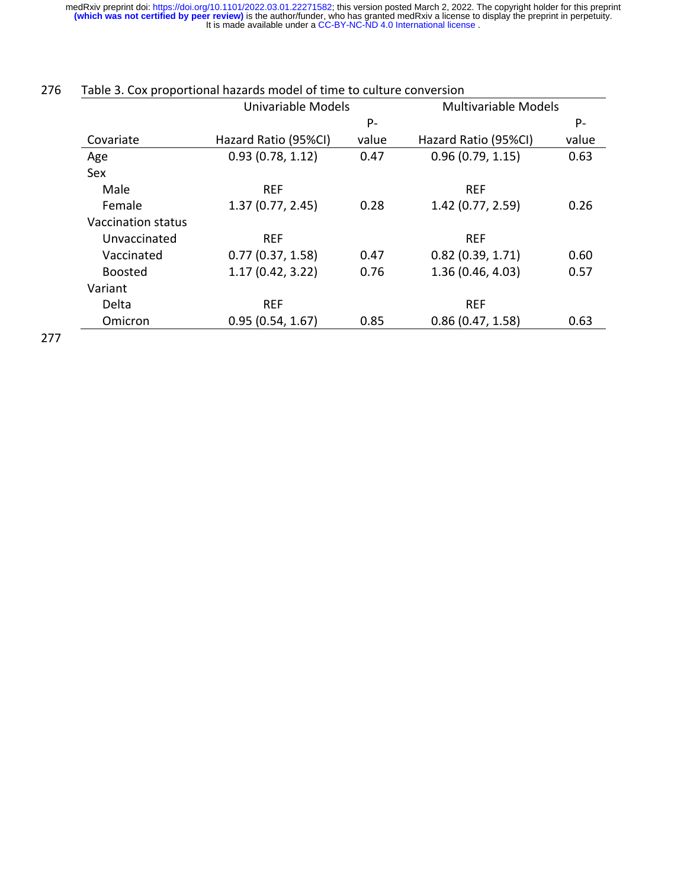|                           | Univariable Models   |       | <b>Multivariable Models</b> |       |
|---------------------------|----------------------|-------|-----------------------------|-------|
|                           |                      | $P -$ |                             | P-    |
| Covariate                 | Hazard Ratio (95%CI) | value | Hazard Ratio (95%CI)        | value |
| Age                       | 0.93(0.78, 1.12)     | 0.47  | 0.96(0.79, 1.15)            | 0.63  |
| <b>Sex</b>                |                      |       |                             |       |
| Male                      | <b>REF</b>           |       | <b>REF</b>                  |       |
| Female                    | 1.37(0.77, 2.45)     | 0.28  | 1.42(0.77, 2.59)            | 0.26  |
| <b>Vaccination status</b> |                      |       |                             |       |
| Unvaccinated              | <b>REF</b>           |       | <b>REF</b>                  |       |
| Vaccinated                | 0.77(0.37, 1.58)     | 0.47  | 0.82(0.39, 1.71)            | 0.60  |
| <b>Boosted</b>            | 1.17(0.42, 3.22)     | 0.76  | 1.36(0.46, 4.03)            | 0.57  |
| Variant                   |                      |       |                             |       |
| Delta                     | <b>REF</b>           |       | <b>REF</b>                  |       |
| Omicron                   | 0.95(0.54, 1.67)     | 0.85  | 0.86(0.47, 1.58)            | 0.63  |

## 276 Table 3. Cox proportional hazards model of time to culture conversion